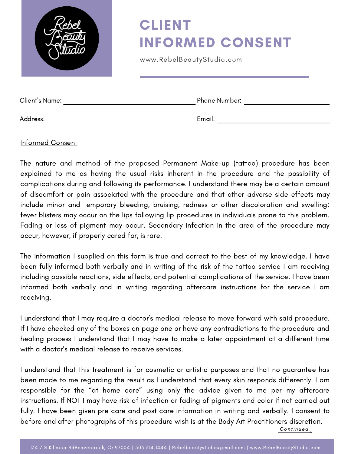|                       | <b>CLIENT</b><br><b>INFORMED CONSENT</b><br>www.RebelBeautyStudio.com |
|-----------------------|-----------------------------------------------------------------------|
| <b>Client's Name:</b> | Phone Number:                                                         |

Address: Email:

#### Informed Consent

The nature and method of the proposed Permanent Make-up (tattoo) procedure has been explained to me as having the usual risks inherent in the procedure and the possibility of complications during and following its performance. I understand there may be a certain amount of discomfort or pain associated with the procedure and that other adverse side effects may include minor and temporary bleeding, bruising, redness or other discoloration and swelling; fever blisters may occur on the lips following lip procedures in individuals prone to this problem. Fading or loss of pigment may occur. Secondary infection in the area of the procedure may occur, however, if properly cared for, is rare.

The information I supplied on this form is true and correct to the best of my knowledge. I have been fully informed both verbally and in writing of the risk of the tattoo service I am receiving including possible reactions, side effects, and potential complications of the service. I have been informed both verbally and in writing regarding aftercare instructions for the service I am receiving.

I understand that I may require a doctor's medical release to move forward with said procedure. If I have checked any of the boxes on page one or have any contradictions to the procedure and healing process I understand that I may have to make a later appointment at a different time with a doctor's medical release to receive services.

I understand that this treatment is for cosmetic or artistic purposes and that no guarantee has been made to me regarding the result as I understand that every skin responds differently. I am responsible for the "at home care" using only the advice given to me per my aftercare instructions. If NOT I may have risk of infection or fading of pigments and color if not carried out fully. I have been given pre care and post care information in writing and verbally. I consent to before and after photographs of this procedure wish is at the Body Art Practitioners discretion. Continued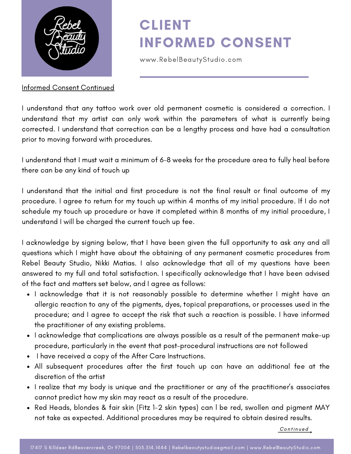

Informed Consent Continued

# CLIENT INFORMED CONSENT

www.RebelBeautyStudio.com

I understand that any tattoo work over old permanent cosmetic is considered a correction. I understand that my artist can only work within the parameters of what is currently being corrected. I understand that correction can be a lengthy process and have had a consultation prior to moving forward with procedures.

I understand that I must wait a minimum of 6-8 weeks for the procedure area to fully heal before there can be any kind of touch up

I understand that the initial and first procedure is not the final result or final outcome of my procedure. I agree to return for my touch up within 4 months of my initial procedure. If I do not schedule my touch up procedure or have it completed within 8 months of my initial procedure, I understand I will be charged the current touch up fee.

I acknowledge by signing below, that I have been given the full opportunity to ask any and all questions which I might have about the obtaining of any permanent cosmetic procedures from Rebel Beauty Studio, Nikki Matias. I also acknowledge that all of my questions have been answered to my full and total satisfaction. I specifically acknowledge that I have been advised of the fact and matters set below, and I agree as follows:

- I acknowledge that it is not reasonably possible to determine whether I might have an allergic reaction to any of the pigments, dyes, topical preparations, or processes used in the procedure; and I agree to accept the risk that such a reaction is possible. I have informed the practitioner of any existing problems.
- I acknowledge that complications are always possible as a result of the permanent make-up procedure, particularly in the event that post-procedural instructions are not followed
- I have received a copy of the After Care Instructions.
- All subsequent procedures after the first touch up can have an additional fee at the discretion of the artist
- I realize that my body is unique and the practitioner or any of the practitioner's associates cannot predict how my skin may react as a result of the procedure.
- Red Heads, blondes & fair skin (Fitz 1-2 skin types) can l be red, swollen and pigment MAY not take as expected. Additional procedures may be required to obtain desired results.

Continued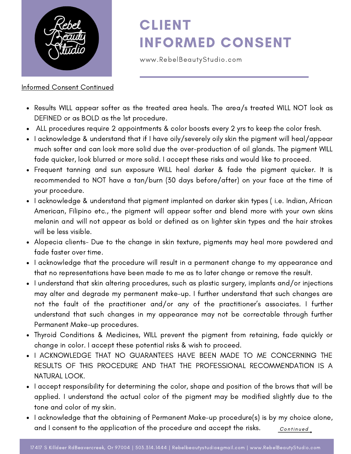

#### Informed Consent Continued

### CLIENT INFORMED CONSENT

www.RebelBeautyStudio.com

- Results WILL appear softer as the treated area heals. The area/s treated WILL NOT look as DEFINED or as BOLD as the 1st procedure.
- ALL procedures require 2 appointments & color boosts every 2 yrs to keep the color fresh.
- I acknowledge & understand that if I have oily/severely oily skin the pigment will heal/appear much softer and can look more solid due the over-production of oil glands. The pigment WILL fade quicker, look blurred or more solid. I accept these risks and would like to proceed.
- Frequent tanning and sun exposure WILL heal darker & fade the pigment quicker. It is recommended to NOT have a tan/burn (30 days before/after) on your face at the time of your procedure.
- I acknowledge & understand that pigment implanted on darker skin types ( i.e. Indian, African American, Filipino etc., the pigment will appear softer and blend more with your own skins melanin and will not appear as bold or defined as on lighter skin types and the hair strokes will be less visible.
- Alopecia clients- Due to the change in skin texture, pigments may heal more powdered and fade faster over time.
- I acknowledge that the procedure will result in a permanent change to my appearance and that no representations have been made to me as to later change or remove the result.
- I understand that skin altering procedures, such as plastic surgery, implants and/or injections may alter and degrade my permanent make-up. I further understand that such changes are not the fault of the practitioner and/or any of the practitioner's associates. I further understand that such changes in my appearance may not be correctable through further Permanent Make-up procedures.
- Thyroid Conditions & Medicines, WILL prevent the pigment from retaining, fade quickly or change in color. I accept these potential risks & wish to proceed.
- I ACKNOWLEDGE THAT NO GUARANTEES HAVE BEEN MADE TO ME CONCERNING THE RESULTS OF THIS PROCEDURE AND THAT THE PROFESSIONAL RECOMMENDATION IS A NATURAL LOOK.
- I accept responsibility for determining the color, shape and position of the brows that will be applied. I understand the actual color of the pigment may be modified slightly due to the tone and color of my skin.
- Continued • I acknowledge that the obtaining of Permanent Make-up procedure(s) is by my choice alone, and I consent to the application of the procedure and accept the risks.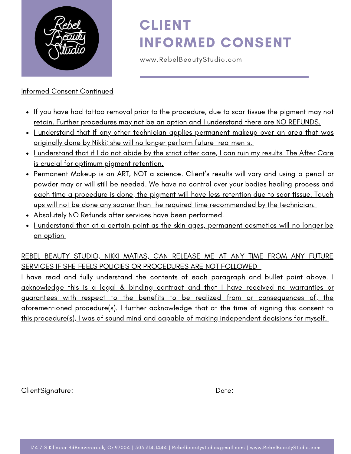

### Informed Consent Continued

# CLIENT INFORMED CONSENT

www.RebelBeautyStudio.com

- If you have had tattoo removal prior to the procedure, due to scar tissue the pigment may not retain. Further procedures may not be an option and I understand there are NO REFUNDS.
- Lunderstand that if any other technician applies permanent makeup over an area that was originally done by Nikki; she will no longer perform future treatments.
- . I understand that if I do not abide by the strict after care, I can ruin my results. The After Care is crucial for optimum pigment retention.
- Permanent Makeup is an ART, NOT a science. Client's results will vary and using a pencil or powder may or will still be needed. We have no control over your bodies healing process and each time a procedure is done, the pigment will have less retention due to scar tissue. Touch ups will not be done any sooner than the required time recommended by the technician.
- Absolutely NO Refunds after services have been performed.
- I understand that at a certain point as the skin ages, permanent cosmetics will no longer be an option

REBEL BEAUTY STUDIO, NIKKI MATIAS, CAN RELEASE ME AT ANY TIME FROM ANY FUTURE SERVICES IF SHE FEELS POLICIES OR PROCEDURES ARE NOT FOLLOWED

I have read and fully understand the contents of each paragraph and bullet point above. I acknowledge this is a legal & binding contract and that I have received no warranties or guarantees with respect to the benefits to be realized from or consequences of, the aforementioned procedure(s). I further acknowledge that at the time of signing this consent to this procedure(s), I was of sound mind and capable of making independent decisions for myself.

ClientSignature: Date: